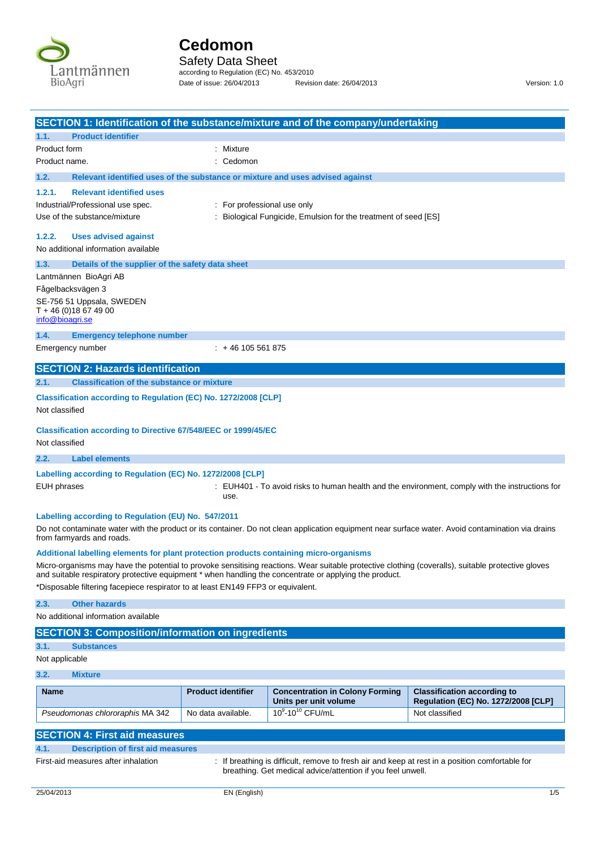

Safety Data Sheet according to Regulation (EC) No. 453/2010 Date of issue: 26/04/2013 Revision date: 26/04/2013 Version: 1.0

| SECTION 1: Identification of the substance/mixture and of the company/undertaking                                                                                                          |                             |                                                                                                                                                                |                                                                                                                                                    |
|--------------------------------------------------------------------------------------------------------------------------------------------------------------------------------------------|-----------------------------|----------------------------------------------------------------------------------------------------------------------------------------------------------------|----------------------------------------------------------------------------------------------------------------------------------------------------|
| <b>Product identifier</b><br>1.1.                                                                                                                                                          |                             |                                                                                                                                                                |                                                                                                                                                    |
| Product form                                                                                                                                                                               | : Mixture                   |                                                                                                                                                                |                                                                                                                                                    |
| Product name.                                                                                                                                                                              | : Cedomon                   |                                                                                                                                                                |                                                                                                                                                    |
| 1.2.<br>Relevant identified uses of the substance or mixture and uses advised against                                                                                                      |                             |                                                                                                                                                                |                                                                                                                                                    |
| <b>Relevant identified uses</b><br>1.2.1.                                                                                                                                                  |                             |                                                                                                                                                                |                                                                                                                                                    |
| Industrial/Professional use spec.                                                                                                                                                          | : For professional use only |                                                                                                                                                                |                                                                                                                                                    |
| Use of the substance/mixture                                                                                                                                                               |                             | : Biological Fungicide, Emulsion for the treatment of seed [ES]                                                                                                |                                                                                                                                                    |
| 1.2.2.<br><b>Uses advised against</b><br>No additional information available                                                                                                               |                             |                                                                                                                                                                |                                                                                                                                                    |
| 1.3.<br>Details of the supplier of the safety data sheet                                                                                                                                   |                             |                                                                                                                                                                |                                                                                                                                                    |
| Lantmännen BioAgri AB                                                                                                                                                                      |                             |                                                                                                                                                                |                                                                                                                                                    |
| Fågelbacksvägen 3                                                                                                                                                                          |                             |                                                                                                                                                                |                                                                                                                                                    |
| SE-756 51 Uppsala, SWEDEN<br>$T + 46(0)18674900$<br>info@bioagri.se                                                                                                                        |                             |                                                                                                                                                                |                                                                                                                                                    |
| 1.4.<br><b>Emergency telephone number</b>                                                                                                                                                  |                             |                                                                                                                                                                |                                                                                                                                                    |
| Emergency number                                                                                                                                                                           | $: +46105561875$            |                                                                                                                                                                |                                                                                                                                                    |
| <b>SECTION 2: Hazards identification</b>                                                                                                                                                   |                             |                                                                                                                                                                |                                                                                                                                                    |
| 2.1.<br><b>Classification of the substance or mixture</b>                                                                                                                                  |                             |                                                                                                                                                                |                                                                                                                                                    |
| Classification according to Regulation (EC) No. 1272/2008 [CLP]                                                                                                                            |                             |                                                                                                                                                                |                                                                                                                                                    |
| Not classified                                                                                                                                                                             |                             |                                                                                                                                                                |                                                                                                                                                    |
| <b>Classification according to Directive 67/548/EEC or 1999/45/EC</b><br>Not classified                                                                                                    |                             |                                                                                                                                                                |                                                                                                                                                    |
| 2.2.<br><b>Label elements</b>                                                                                                                                                              |                             |                                                                                                                                                                |                                                                                                                                                    |
| Labelling according to Regulation (EC) No. 1272/2008 [CLP]                                                                                                                                 |                             |                                                                                                                                                                |                                                                                                                                                    |
| EUH phrases                                                                                                                                                                                | use.                        |                                                                                                                                                                | : EUH401 - To avoid risks to human health and the environment, comply with the instructions for                                                    |
| Labelling according to Regulation (EU) No. 547/2011<br>from farmyards and roads.                                                                                                           |                             |                                                                                                                                                                | Do not contaminate water with the product or its container. Do not clean application equipment near surface water. Avoid contamination via drains  |
| Additional labelling elements for plant protection products containing micro-organisms                                                                                                     |                             |                                                                                                                                                                |                                                                                                                                                    |
| and suitable respiratory protective equipment * when handling the concentrate or applying the product.<br>*Disposable filtering facepiece respirator to at least EN149 FFP3 or equivalent. |                             |                                                                                                                                                                | Micro-organisms may have the potential to provoke sensitising reactions. Wear suitable protective clothing (coveralls), suitable protective gloves |
| 2.3.<br><b>Other hazards</b>                                                                                                                                                               |                             |                                                                                                                                                                |                                                                                                                                                    |
| No additional information available                                                                                                                                                        |                             |                                                                                                                                                                |                                                                                                                                                    |
| <b>SECTION 3: Composition/information on ingredients</b>                                                                                                                                   |                             |                                                                                                                                                                |                                                                                                                                                    |
| 3.1.<br><b>Substances</b>                                                                                                                                                                  |                             |                                                                                                                                                                |                                                                                                                                                    |
| Not applicable                                                                                                                                                                             |                             |                                                                                                                                                                |                                                                                                                                                    |
| 3.2.<br><b>Mixture</b>                                                                                                                                                                     |                             |                                                                                                                                                                |                                                                                                                                                    |
| <b>Name</b>                                                                                                                                                                                | <b>Product identifier</b>   | <b>Concentration in Colony Forming</b><br>Units per unit volume                                                                                                | <b>Classification according to</b><br>Regulation (EC) No. 1272/2008 [CLP]                                                                          |
| Pseudomonas chlororaphis MA 342                                                                                                                                                            | No data available.          | $10^{9} - 10^{10}$ CFU/mL                                                                                                                                      | Not classified                                                                                                                                     |
| <b>SECTION 4: First aid measures</b>                                                                                                                                                       |                             |                                                                                                                                                                |                                                                                                                                                    |
| 4.1.<br><b>Description of first aid measures</b>                                                                                                                                           |                             |                                                                                                                                                                |                                                                                                                                                    |
| First-aid measures after inhalation                                                                                                                                                        |                             | : If breathing is difficult, remove to fresh air and keep at rest in a position comfortable for<br>breathing. Get medical advice/attention if you feel unwell. |                                                                                                                                                    |
| 25/04/2013                                                                                                                                                                                 | EN (English)                |                                                                                                                                                                | 1/5                                                                                                                                                |
|                                                                                                                                                                                            |                             |                                                                                                                                                                |                                                                                                                                                    |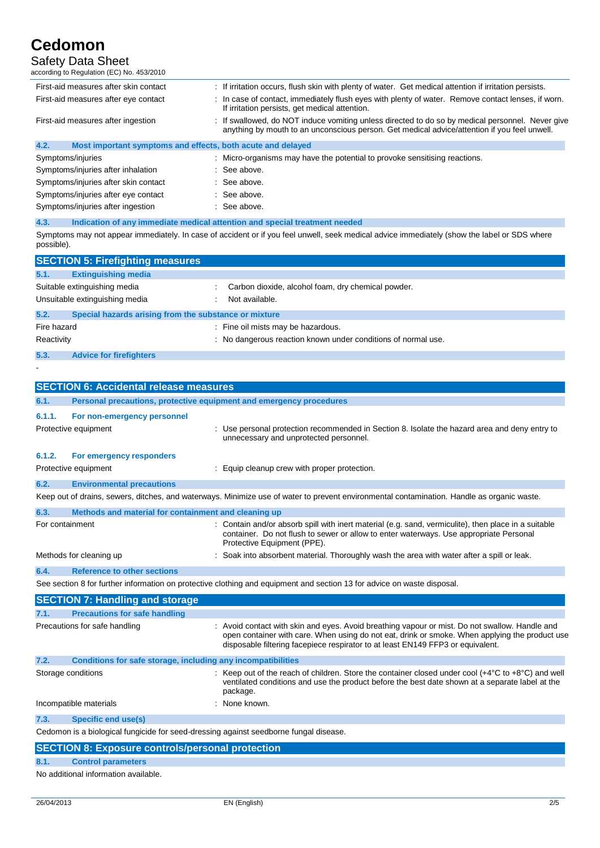## Safety Data Sheet

| according to Regulation (EC) No. 453/2010                           |                                                                                                                                                                                                |
|---------------------------------------------------------------------|------------------------------------------------------------------------------------------------------------------------------------------------------------------------------------------------|
| First-aid measures after skin contact                               | : If irritation occurs, flush skin with plenty of water. Get medical attention if irritation persists.                                                                                         |
| First-aid measures after eye contact                                | In case of contact, immediately flush eyes with plenty of water. Remove contact lenses, if worn.<br>If irritation persists, get medical attention.                                             |
| First-aid measures after ingestion                                  | If swallowed, do NOT induce vomiting unless directed to do so by medical personnel. Never give<br>anything by mouth to an unconscious person. Get medical advice/attention if you feel unwell. |
| 4.2.<br>Most important symptoms and effects, both acute and delayed |                                                                                                                                                                                                |
| Symptoms/injuries                                                   | : Micro-organisms may have the potential to provoke sensitising reactions.                                                                                                                     |
| Symptoms/injuries after inhalation                                  | : See above.                                                                                                                                                                                   |
| Symptoms/injuries after skin contact                                | See above.                                                                                                                                                                                     |
| Symptoms/injuries after eye contact                                 | $\therefore$ See above.                                                                                                                                                                        |
| Symptoms/injuries after ingestion                                   | : See above.                                                                                                                                                                                   |

### **4.3. Indication of any immediate medical attention and special treatment needed** Symptoms may not appear immediately. In case of accident or if you feel unwell, seek medical advice immediately (show the label or SDS where possible).

|             | <b>SECTION 5: Firefighting measures</b>               |  |                                                               |  |  |
|-------------|-------------------------------------------------------|--|---------------------------------------------------------------|--|--|
| 5.1.        | <b>Extinguishing media</b>                            |  |                                                               |  |  |
|             | Suitable extinguishing media                          |  | Carbon dioxide, alcohol foam, dry chemical powder.            |  |  |
|             | Unsuitable extinguishing media                        |  | Not available.                                                |  |  |
| 5.2.        | Special hazards arising from the substance or mixture |  |                                                               |  |  |
| Fire hazard |                                                       |  | Fine oil mists may be hazardous.                              |  |  |
| Reactivity  |                                                       |  | : No dangerous reaction known under conditions of normal use. |  |  |
| 5.3.        | <b>Advice for firefighters</b>                        |  |                                                               |  |  |
|             |                                                       |  |                                                               |  |  |

-

|                                                                                                                         | <b>SECTION 6: Accidental release measures</b>                                                                                                                                                                                                                                                                                                                                                                                |                                                                                                                                                                                                                               |  |  |
|-------------------------------------------------------------------------------------------------------------------------|------------------------------------------------------------------------------------------------------------------------------------------------------------------------------------------------------------------------------------------------------------------------------------------------------------------------------------------------------------------------------------------------------------------------------|-------------------------------------------------------------------------------------------------------------------------------------------------------------------------------------------------------------------------------|--|--|
| 6.1.                                                                                                                    | Personal precautions, protective equipment and emergency procedures                                                                                                                                                                                                                                                                                                                                                          |                                                                                                                                                                                                                               |  |  |
| 6.1.1.                                                                                                                  | For non-emergency personnel                                                                                                                                                                                                                                                                                                                                                                                                  |                                                                                                                                                                                                                               |  |  |
|                                                                                                                         | Protective equipment                                                                                                                                                                                                                                                                                                                                                                                                         | : Use personal protection recommended in Section 8. Isolate the hazard area and deny entry to<br>unnecessary and unprotected personnel.                                                                                       |  |  |
| 6.1.2.                                                                                                                  | For emergency responders                                                                                                                                                                                                                                                                                                                                                                                                     |                                                                                                                                                                                                                               |  |  |
|                                                                                                                         | Protective equipment                                                                                                                                                                                                                                                                                                                                                                                                         | : Equip cleanup crew with proper protection.                                                                                                                                                                                  |  |  |
| 6.2.                                                                                                                    | <b>Environmental precautions</b>                                                                                                                                                                                                                                                                                                                                                                                             |                                                                                                                                                                                                                               |  |  |
|                                                                                                                         |                                                                                                                                                                                                                                                                                                                                                                                                                              | Keep out of drains, sewers, ditches, and waterways. Minimize use of water to prevent environmental contamination. Handle as organic waste.                                                                                    |  |  |
| 6.3.                                                                                                                    | Methods and material for containment and cleaning up                                                                                                                                                                                                                                                                                                                                                                         |                                                                                                                                                                                                                               |  |  |
| For containment                                                                                                         |                                                                                                                                                                                                                                                                                                                                                                                                                              | : Contain and/or absorb spill with inert material (e.g. sand, vermiculite), then place in a suitable<br>container. Do not flush to sewer or allow to enter waterways. Use appropriate Personal<br>Protective Equipment (PPE). |  |  |
|                                                                                                                         | Methods for cleaning up                                                                                                                                                                                                                                                                                                                                                                                                      | : Soak into absorbent material. Thoroughly wash the area with water after a spill or leak.                                                                                                                                    |  |  |
| 6.4.                                                                                                                    | <b>Reference to other sections</b>                                                                                                                                                                                                                                                                                                                                                                                           |                                                                                                                                                                                                                               |  |  |
| See section 8 for further information on protective clothing and equipment and section 13 for advice on waste disposal. |                                                                                                                                                                                                                                                                                                                                                                                                                              |                                                                                                                                                                                                                               |  |  |
|                                                                                                                         | $\mathbf{A} = \mathbf{A} + \mathbf{B} + \mathbf{A} + \mathbf{B} + \mathbf{B} + \mathbf{B} + \mathbf{B} + \mathbf{B} + \mathbf{B} + \mathbf{B} + \mathbf{B} + \mathbf{B} + \mathbf{B} + \mathbf{B} + \mathbf{B} + \mathbf{B} + \mathbf{B} + \mathbf{B} + \mathbf{B} + \mathbf{B} + \mathbf{B} + \mathbf{B} + \mathbf{B} + \mathbf{B} + \mathbf{B} + \mathbf{B} + \mathbf{B} + \mathbf{B} + \mathbf{B} + \mathbf{B} + \mathbf$ |                                                                                                                                                                                                                               |  |  |

|                               | <b>SECTION 7: Handling and storage</b>                       |                                                                                                                                                                                                                                                                                     |  |  |  |
|-------------------------------|--------------------------------------------------------------|-------------------------------------------------------------------------------------------------------------------------------------------------------------------------------------------------------------------------------------------------------------------------------------|--|--|--|
| 7.1.                          | <b>Precautions for safe handling</b>                         |                                                                                                                                                                                                                                                                                     |  |  |  |
| Precautions for safe handling |                                                              | : Avoid contact with skin and eyes. Avoid breathing vapour or mist. Do not swallow. Handle and<br>open container with care. When using do not eat, drink or smoke. When applying the product use<br>disposable filtering facepiece respirator to at least EN149 FFP3 or equivalent. |  |  |  |
| 7.2.                          | Conditions for safe storage, including any incompatibilities |                                                                                                                                                                                                                                                                                     |  |  |  |
|                               | Storage conditions                                           | : Keep out of the reach of children. Store the container closed under cool $(+4^{\circ}C \text{ to } +8^{\circ}C)$ and well<br>ventilated conditions and use the product before the best date shown at a separate label at the<br>package.                                          |  |  |  |
|                               | Incompatible materials                                       | : None known.                                                                                                                                                                                                                                                                       |  |  |  |
| 7.3.                          | Specific end use(s)                                          |                                                                                                                                                                                                                                                                                     |  |  |  |
|                               |                                                              |                                                                                                                                                                                                                                                                                     |  |  |  |

Cedomon is a biological fungicide for seed-dressing against seedborne fungal disease.

|                                      | <b>SECTION 8: Exposure controls/personal protection</b> |  |  |  |  |  |
|--------------------------------------|---------------------------------------------------------|--|--|--|--|--|
| 8.1.                                 | <b>Control parameters</b>                               |  |  |  |  |  |
| No additional information available. |                                                         |  |  |  |  |  |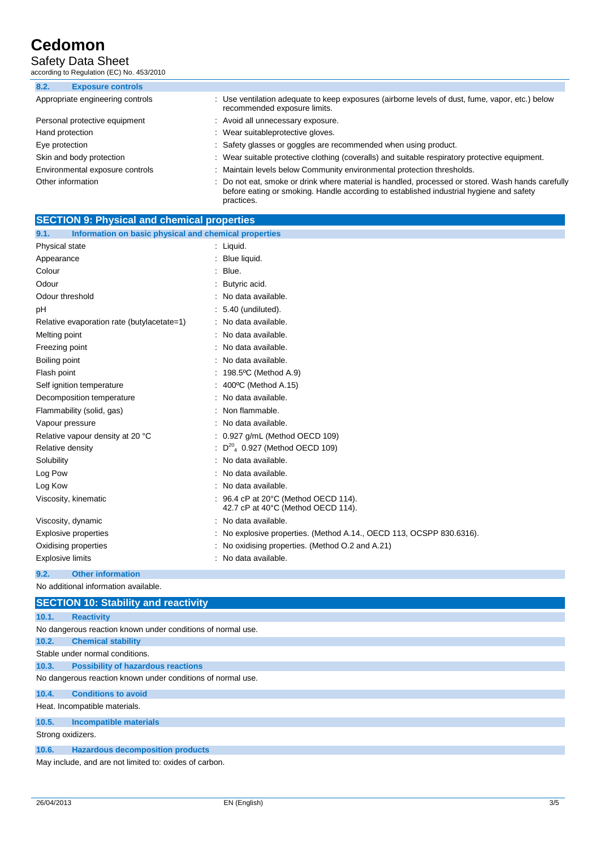### Safety Data Sheet

according to Regulation (EC) No. 453/2010

| 8.2.<br><b>Exposure controls</b> |                                                                                                                                                                                                            |
|----------------------------------|------------------------------------------------------------------------------------------------------------------------------------------------------------------------------------------------------------|
| Appropriate engineering controls | : Use ventilation adequate to keep exposures (airborne levels of dust, fume, vapor, etc.) below<br>recommended exposure limits.                                                                            |
| Personal protective equipment    | : Avoid all unnecessary exposure.                                                                                                                                                                          |
| Hand protection                  | : Wear suitableprotective gloves.                                                                                                                                                                          |
| Eye protection                   | : Safety glasses or goggles are recommended when using product.                                                                                                                                            |
| Skin and body protection         | : Wear suitable protective clothing (coveralls) and suitable respiratory protective equipment.                                                                                                             |
| Environmental exposure controls  | Maintain levels below Community environmental protection thresholds.                                                                                                                                       |
| Other information                | : Do not eat, smoke or drink where material is handled, processed or stored. Wash hands carefully<br>before eating or smoking. Handle according to established industrial hygiene and safety<br>practices. |

| <b>SECTION 9: Physical and chemical properties</b>            |                                                                          |
|---------------------------------------------------------------|--------------------------------------------------------------------------|
| 9.1.<br>Information on basic physical and chemical properties |                                                                          |
| Physical state                                                | $:$ Liquid.                                                              |
| Appearance                                                    | Blue liquid.                                                             |
| Colour                                                        | Blue.                                                                    |
| Odour                                                         | : Butyric acid.                                                          |
| Odour threshold                                               | No data available.                                                       |
| рH                                                            | 5.40 (undiluted).                                                        |
| Relative evaporation rate (butylacetate=1)                    | : No data available.                                                     |
| Melting point                                                 | No data available.                                                       |
| Freezing point                                                | No data available.                                                       |
| Boiling point                                                 | No data available.                                                       |
| Flash point                                                   | 198.5°C (Method A.9).                                                    |
| Self ignition temperature                                     | 400°C (Method A.15)                                                      |
| Decomposition temperature                                     | No data available.                                                       |
| Flammability (solid, gas)                                     | Non flammable.                                                           |
| Vapour pressure                                               | No data available.                                                       |
| Relative vapour density at 20 °C                              | : 0.927 g/mL (Method OECD 109).                                          |
| Relative density                                              | $D^{20}$ <sub>4</sub> 0.927 (Method OECD 109).                           |
| Solubility                                                    | No data available.                                                       |
| Log Pow                                                       | : No data available.                                                     |
| Log Kow                                                       | No data available.                                                       |
| Viscosity, kinematic                                          | 96.4 cP at 20°C (Method OECD 114).<br>42.7 cP at 40°C (Method OECD 114). |
| Viscosity, dynamic                                            | : No data available.                                                     |
| <b>Explosive properties</b>                                   | No explosive properties. (Method A.14., OECD 113, OCSPP 830.6316).       |
| Oxidising properties                                          | No oxidising properties. (Method O.2 and A.21).                          |
| Explosive limits                                              | : No data available.                                                     |

#### **9.2. Other information**

No additional information available.

|                   | <b>SECTION 10: Stability and reactivity</b>                 |
|-------------------|-------------------------------------------------------------|
| 10.1.             | <b>Reactivity</b>                                           |
|                   | No dangerous reaction known under conditions of normal use. |
| 10.2.             | <b>Chemical stability</b>                                   |
|                   | Stable under normal conditions.                             |
| 10.3.             | <b>Possibility of hazardous reactions</b>                   |
|                   | No dangerous reaction known under conditions of normal use. |
| 10.4.             | <b>Conditions to avoid</b>                                  |
|                   | Heat. Incompatible materials.                               |
| 10.5.             | <b>Incompatible materials</b>                               |
| Strong oxidizers. |                                                             |
| 10.6.             | <b>Hazardous decomposition products</b>                     |
|                   | Moujeduals and are not limited to oviden of carbon          |

May include, and are not limited to: oxides of carbon.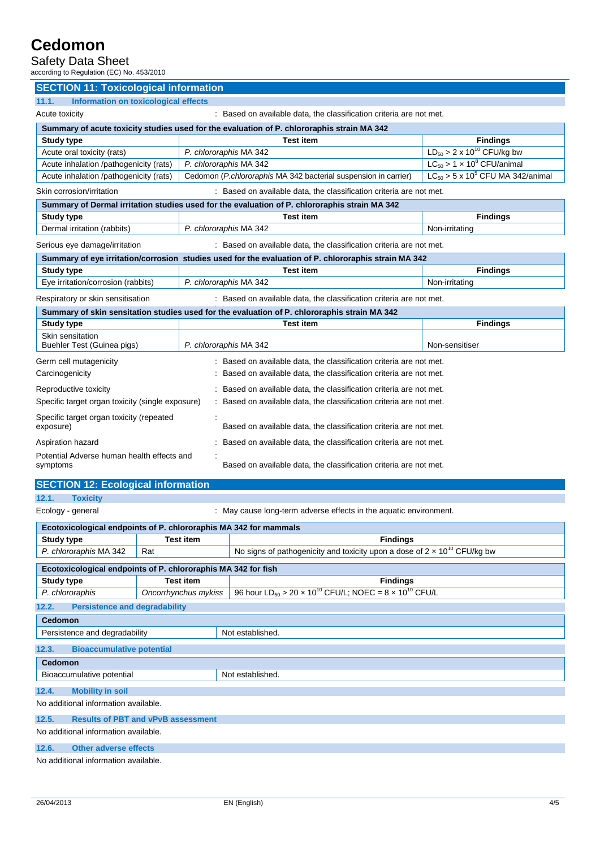### Safety Data Sheet

| according to Regulation (EC) No. 453/2010                                                                |                                                                                                      |                                                                   |  |  |
|----------------------------------------------------------------------------------------------------------|------------------------------------------------------------------------------------------------------|-------------------------------------------------------------------|--|--|
| <b>SECTION 11: Toxicological information</b>                                                             |                                                                                                      |                                                                   |  |  |
| 11.1.<br><b>Information on toxicological effects</b>                                                     |                                                                                                      |                                                                   |  |  |
| Acute toxicity<br>: Based on available data, the classification criteria are not met.                    |                                                                                                      |                                                                   |  |  |
| Summary of acute toxicity studies used for the evaluation of P. chlororaphis strain MA 342               |                                                                                                      |                                                                   |  |  |
| <b>Study type</b>                                                                                        | <b>Test item</b>                                                                                     | <b>Findings</b>                                                   |  |  |
| Acute oral toxicity (rats)                                                                               | P. chlororaphis MA 342                                                                               | $LD_{50} > 2 \times 10^{10}$ CFU/kg bw                            |  |  |
| Acute inhalation /pathogenicity (rats)                                                                   | P. chlororaphis MA 342                                                                               | $LC_{50} > 1 \times 10^8$ CFU/animal                              |  |  |
| Acute inhalation /pathogenicity (rats)                                                                   | Cedomon (P.chlororaphis MA 342 bacterial suspension in carrier)                                      | $LC_{50}$ > 5 x 10 <sup>5</sup> CFU MA 342/animal                 |  |  |
| Skin corrosion/irritation                                                                                | : Based on available data, the classification criteria are not met.                                  |                                                                   |  |  |
|                                                                                                          | Summary of Dermal irritation studies used for the evaluation of P. chlororaphis strain MA 342        |                                                                   |  |  |
| <b>Study type</b>                                                                                        | <b>Test item</b>                                                                                     | <b>Findings</b>                                                   |  |  |
| Dermal irritation (rabbits)                                                                              | P. chlororaphis MA 342                                                                               | Non-irritating                                                    |  |  |
| Serious eye damage/irritation                                                                            | : Based on available data, the classification criteria are not met.                                  |                                                                   |  |  |
|                                                                                                          | Summary of eye irritation/corrosion studies used for the evaluation of P. chlororaphis strain MA 342 |                                                                   |  |  |
| <b>Study type</b>                                                                                        | <b>Test item</b>                                                                                     | <b>Findings</b>                                                   |  |  |
| Eye irritation/corrosion (rabbits)                                                                       | P. chlororaphis MA 342                                                                               | Non-irritating                                                    |  |  |
| Respiratory or skin sensitisation<br>: Based on available data, the classification criteria are not met. |                                                                                                      |                                                                   |  |  |
|                                                                                                          | Summary of skin sensitation studies used for the evaluation of P. chlororaphis strain MA 342         |                                                                   |  |  |
| <b>Study type</b>                                                                                        | <b>Test item</b>                                                                                     | <b>Findings</b>                                                   |  |  |
| Skin sensitation<br>Buehler Test (Guinea pigs)                                                           | P. chlororaphis MA 342                                                                               | Non-sensitiser                                                    |  |  |
| Germ cell mutagenicity                                                                                   | : Based on available data, the classification criteria are not met.                                  |                                                                   |  |  |
| Carcinogenicity                                                                                          | Based on available data, the classification criteria are not met.                                    |                                                                   |  |  |
| Reproductive toxicity                                                                                    | Based on available data, the classification criteria are not met.                                    |                                                                   |  |  |
| Specific target organ toxicity (single exposure)                                                         | Based on available data, the classification criteria are not met.                                    |                                                                   |  |  |
| Specific target organ toxicity (repeated<br>exposure)                                                    | Based on available data, the classification criteria are not met.                                    |                                                                   |  |  |
| Aspiration hazard                                                                                        |                                                                                                      | Based on available data, the classification criteria are not met. |  |  |
| Potential Adverse human health effects and<br>symptoms                                                   | Based on available data, the classification criteria are not met.                                    |                                                                   |  |  |

## **SECTION 12: Ecological information**

**12.1. Toxicity**

Ecology - general **Example 20** : May cause long-term adverse effects in the aquatic environment.

| Ecotoxicological endpoints of P. chlororaphis MA 342 for mammals                                                                                                                                                               |                      |                                                                                           |  |  |
|--------------------------------------------------------------------------------------------------------------------------------------------------------------------------------------------------------------------------------|----------------------|-------------------------------------------------------------------------------------------|--|--|
| Study type                                                                                                                                                                                                                     | <b>Test item</b>     | <b>Findings</b>                                                                           |  |  |
| P. chlororaphis MA 342<br>Rat                                                                                                                                                                                                  |                      | No signs of pathogenicity and toxicity upon a dose of $2 \times 10^{10}$ CFU/kg bw        |  |  |
| Ecotoxicological endpoints of P. chlororaphis MA 342 for fish                                                                                                                                                                  |                      |                                                                                           |  |  |
| <b>Study type</b>                                                                                                                                                                                                              | <b>Test item</b>     | <b>Findings</b>                                                                           |  |  |
| P. chlororaphis                                                                                                                                                                                                                | Oncorrhynchus mykiss | 96 hour LD <sub>50</sub> > 20 x 10 <sup>10</sup> CFU/L; NOEC = 8 x 10 <sup>10</sup> CFU/L |  |  |
| <b>Persistence and degradability</b><br>12.2.                                                                                                                                                                                  |                      |                                                                                           |  |  |
| <b>Cedomon</b>                                                                                                                                                                                                                 |                      |                                                                                           |  |  |
| Persistence and degradability                                                                                                                                                                                                  |                      | Not established.                                                                          |  |  |
| <b>Bioaccumulative potential</b><br>12.3.                                                                                                                                                                                      |                      |                                                                                           |  |  |
| <b>Cedomon</b>                                                                                                                                                                                                                 |                      |                                                                                           |  |  |
| Not established.<br>Bioaccumulative potential                                                                                                                                                                                  |                      |                                                                                           |  |  |
| 12.4.<br><b>Mobility in soil</b>                                                                                                                                                                                               |                      |                                                                                           |  |  |
| No additional information available.                                                                                                                                                                                           |                      |                                                                                           |  |  |
| <b>Results of PBT and vPvB assessment</b><br>12.5.                                                                                                                                                                             |                      |                                                                                           |  |  |
| No additional information available.                                                                                                                                                                                           |                      |                                                                                           |  |  |
| 12.6.<br><b>Other adverse effects</b>                                                                                                                                                                                          |                      |                                                                                           |  |  |
| the second contract of the second contract of the second contract of the second contract of the second contract of the second contract of the second contract of the second contract of the second contract of the second cont |                      |                                                                                           |  |  |

No additional information available.